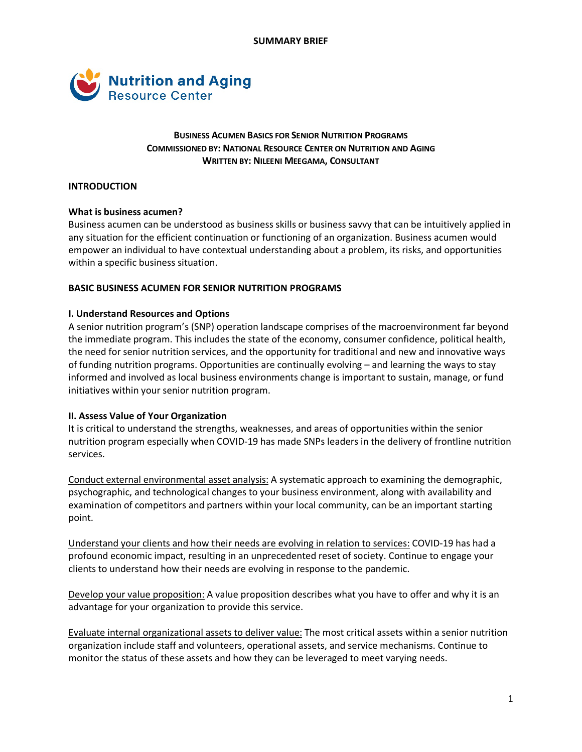

# **BUSINESS ACUMEN BASICS FOR SENIOR NUTRITION PROGRAMS COMMISSIONED BY: NATIONAL RESOURCE CENTER ON NUTRITION AND AGING WRITTEN BY: NILEENI MEEGAMA, CONSULTANT**

## **INTRODUCTION**

### **What is business acumen?**

Business acumen can be understood as business skills or business savvy that can be intuitively applied in any situation for the efficient continuation or functioning of an organization. Business acumen would empower an individual to have contextual understanding about a problem, its risks, and opportunities within a specific business situation.

### **BASIC BUSINESS ACUMEN FOR SENIOR NUTRITION PROGRAMS**

### **I. Understand Resources and Options**

A senior nutrition program's (SNP) operation landscape comprises of the macroenvironment far beyond the immediate program. This includes the state of the economy, consumer confidence, political health, the need for senior nutrition services, and the opportunity for traditional and new and innovative ways of funding nutrition programs. Opportunities are continually evolving – and learning the ways to stay informed and involved as local business environments change is important to sustain, manage, or fund initiatives within your senior nutrition program.

## **II. Assess Value of Your Organization**

It is critical to understand the strengths, weaknesses, and areas of opportunities within the senior nutrition program especially when COVID-19 has made SNPs leaders in the delivery of frontline nutrition services.

Conduct external environmental asset analysis: A systematic approach to examining the demographic, psychographic, and technological changes to your business environment, along with availability and examination of competitors and partners within your local community, can be an important starting point.

Understand your clients and how their needs are evolving in relation to services: COVID-19 has had a profound economic impact, resulting in an unprecedented reset of society. Continue to engage your clients to understand how their needs are evolving in response to the pandemic.

Develop your value proposition: A value proposition describes what you have to offer and why it is an advantage for your organization to provide this service.

Evaluate internal organizational assets to deliver value: The most critical assets within a senior nutrition organization include staff and volunteers, operational assets, and service mechanisms. Continue to monitor the status of these assets and how they can be leveraged to meet varying needs.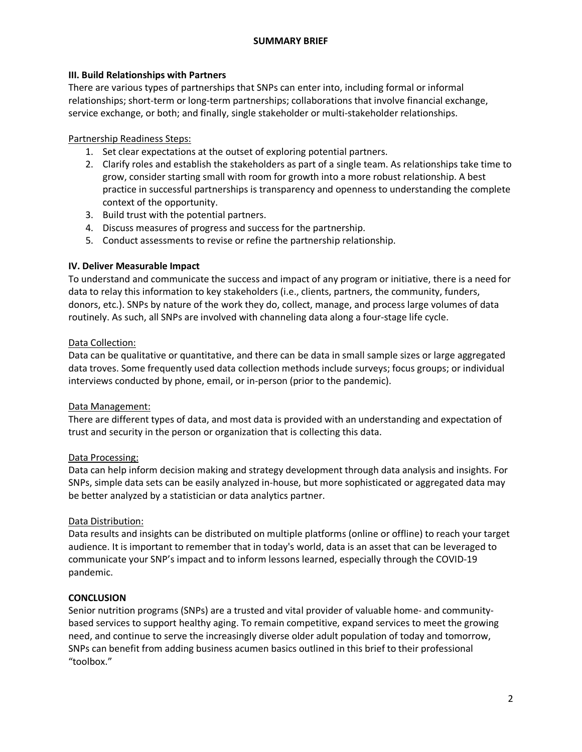### **SUMMARY BRIEF**

## **III. Build Relationships with Partners**

There are various types of partnerships that SNPs can enter into, including formal or informal relationships; short-term or long-term partnerships; collaborations that involve financial exchange, service exchange, or both; and finally, single stakeholder or multi-stakeholder relationships.

# Partnership Readiness Steps:

- 1. Set clear expectations at the outset of exploring potential partners.
- 2. Clarify roles and establish the stakeholders as part of a single team. As relationships take time to grow, consider starting small with room for growth into a more robust relationship. A best practice in successful partnerships is transparency and openness to understanding the complete context of the opportunity.
- 3. Build trust with the potential partners.
- 4. Discuss measures of progress and success for the partnership.
- 5. Conduct assessments to revise or refine the partnership relationship.

# **IV. Deliver Measurable Impact**

To understand and communicate the success and impact of any program or initiative, there is a need for data to relay this information to key stakeholders (i.e., clients, partners, the community, funders, donors, etc.). SNPs by nature of the work they do, collect, manage, and process large volumes of data routinely. As such, all SNPs are involved with channeling data along a four-stage life cycle.

# Data Collection:

Data can be qualitative or quantitative, and there can be data in small sample sizes or large aggregated data troves. Some frequently used data collection methods include surveys; focus groups; or individual interviews conducted by phone, email, or in-person (prior to the pandemic).

## Data Management:

There are different types of data, and most data is provided with an understanding and expectation of trust and security in the person or organization that is collecting this data.

# Data Processing:

Data can help inform decision making and strategy development through data analysis and insights. For SNPs, simple data sets can be easily analyzed in-house, but more sophisticated or aggregated data may be better analyzed by a statistician or data analytics partner.

## Data Distribution:

Data results and insights can be distributed on multiple platforms (online or offline) to reach your target audience. It is important to remember that in today's world, data is an asset that can be leveraged to communicate your SNP's impact and to inform lessons learned, especially through the COVID-19 pandemic.

## **CONCLUSION**

Senior nutrition programs (SNPs) are a trusted and vital provider of valuable home- and communitybased services to support healthy aging. To remain competitive, expand services to meet the growing need, and continue to serve the increasingly diverse older adult population of today and tomorrow, SNPs can benefit from adding business acumen basics outlined in this brief to their professional "toolbox."